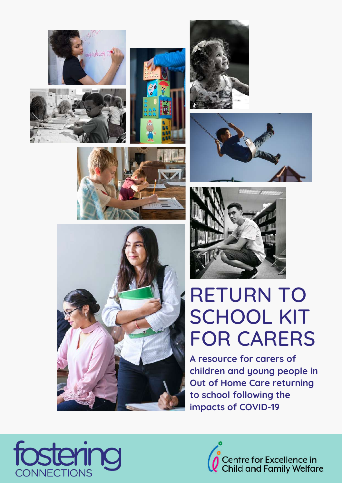















# RETURN TO SCHOOL KIT FOR CARERS

**A resource for carers of children and young people in Out of Home Care returning to school following the impacts of COVID-19**



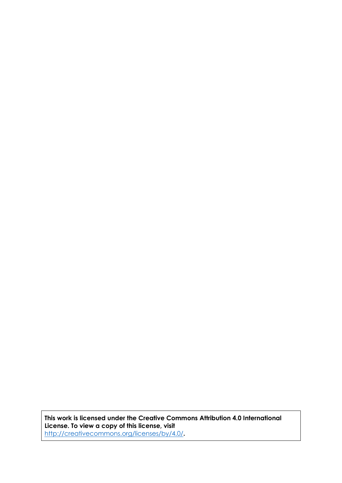**This work is licensed under the Creative Commons Attribution 4.0 International License. To view a copy of this license, visit**  <http://creativecommons.org/licenses/by/4.0/>**.**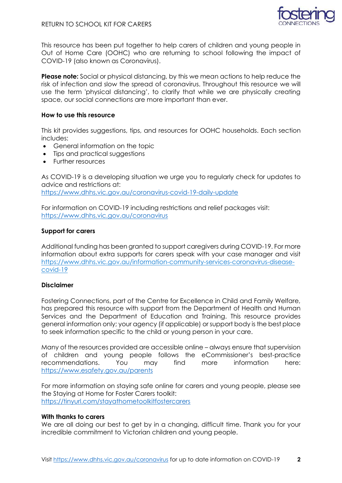

This resource has been put together to help carers of children and young people in Out of Home Care (OOHC) who are returning to school following the impact of COVID-19 (also known as Coronavirus).

**Please note:** Social or physical distancing, by this we mean actions to help reduce the risk of infection and slow the spread of coronavirus. Throughout this resource we will use the term 'physical distancing', to clarify that while we are physically creating space, our social connections are more important than ever.

#### **How to use this resource**

This kit provides suggestions, tips, and resources for OOHC households. Each section includes:

- General information on the topic
- Tips and practical suggestions
- Further resources

As COVID-19 is a developing situation we urge you to regularly check for updates to advice and restrictions at: <https://www.dhhs.vic.gov.au/coronavirus-covid-19-daily-update>

For information on COVID-19 including restrictions and relief packages visit: <https://www.dhhs.vic.gov.au/coronavirus>

#### **Support for carers**

Additional funding has been granted to support caregivers during COVID-19. For more information about extra supports for carers speak with your case manager and visit [https://www.dhhs.vic.gov.au/information-community-services-coronavirus-disease](https://www.dhhs.vic.gov.au/information-community-services-coronavirus-disease-covid-19)[covid-19](https://www.dhhs.vic.gov.au/information-community-services-coronavirus-disease-covid-19)

#### **Disclaimer**

Fostering Connections, part of the Centre for Excellence in Child and Family Welfare, has prepared this resource with support from the Department of Health and Human Services and the Department of Education and Training. This resource provides general information only; your agency (if applicable) or support body is the best place to seek information specific to the child or young person in your care.

Many of the resources provided are accessible online – always ensure that supervision of children and young people follows the eCommissioner's best-practice recommendations. You may find more information here: <https://www.esafety.gov.au/parents>

For more information on staying safe online for carers and young people, please see the Staying at Home for Foster Carers toolkit: <https://tinyurl.com/stayathometoolkitfostercarers>

#### **With thanks to carers**

We are all doing our best to get by in a changing, difficult time. Thank you for your incredible commitment to Victorian children and young people.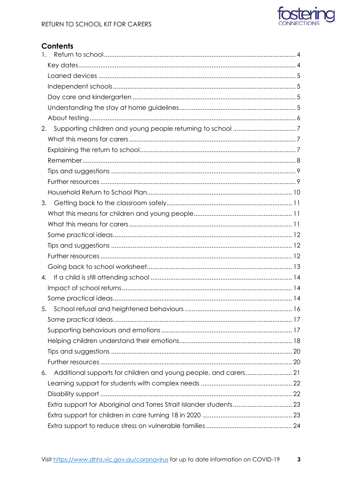

#### **Contents**

| 1.                                                                     |  |
|------------------------------------------------------------------------|--|
|                                                                        |  |
|                                                                        |  |
|                                                                        |  |
|                                                                        |  |
|                                                                        |  |
|                                                                        |  |
| 2.                                                                     |  |
|                                                                        |  |
|                                                                        |  |
|                                                                        |  |
|                                                                        |  |
|                                                                        |  |
|                                                                        |  |
| 3.                                                                     |  |
|                                                                        |  |
|                                                                        |  |
|                                                                        |  |
|                                                                        |  |
|                                                                        |  |
|                                                                        |  |
| 4.                                                                     |  |
|                                                                        |  |
|                                                                        |  |
|                                                                        |  |
|                                                                        |  |
|                                                                        |  |
|                                                                        |  |
|                                                                        |  |
|                                                                        |  |
| Additional supports for children and young people, and carers 21<br>6. |  |
|                                                                        |  |
|                                                                        |  |
|                                                                        |  |
|                                                                        |  |
|                                                                        |  |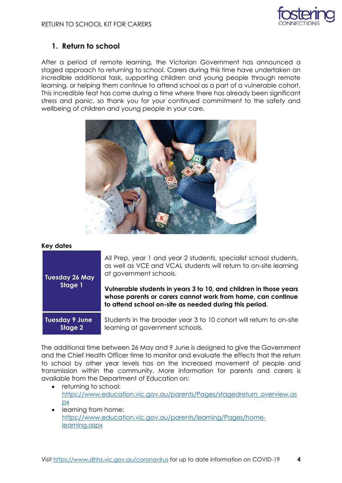

#### <span id="page-4-0"></span>**1. Return to school**

After a period of remote learning, the Victorian Government has announced a staged approach to returning to school. Carers during this time have undertaken an incredible additional task, supporting children and young people through remote learning, or helping them continue to attend school as a part of a vulnerable cohort. This incredible feat has come during a time where there has already been significant stress and panic, so thank you for your continued commitment to the safety and wellbeing of children and young people in your care.



#### <span id="page-4-1"></span>**Key dates**

**Tuesday 26 May Stage 1**

All Prep, year 1 and year 2 students, specialist school students, as well as VCE and VCAL students will return to on-site learning at government schools.

**Vulnerable students in years 3 to 10, and children in those years whose parents or carers cannot work from home, can continue to attend school on-site as needed during this period.** 

#### **Tuesday 9 June Stage 2**

Students in the broader year 3 to 10 cohort will return to on-site learning at government schools.

The additional time between 26 May and 9 June is designed to give the Government and the Chief Health Officer time to monitor and evaluate the effects that the return to school by other year levels has on the increased movement of people and transmission within the community. More information for parents and carers is available from the Department of Education on:

- returning to school: [https://www.education.vic.gov.au/parents/Pages/stagedreturn\\_overview.as](https://www.education.vic.gov.au/parents/Pages/stagedreturn_overview.aspx) [px](https://www.education.vic.gov.au/parents/Pages/stagedreturn_overview.aspx)
- learning from home: [https://www.education.vic.gov.au/parents/learning/Pages/home](https://www.education.vic.gov.au/parents/learning/Pages/home-learning.aspx)[learning.aspx](https://www.education.vic.gov.au/parents/learning/Pages/home-learning.aspx)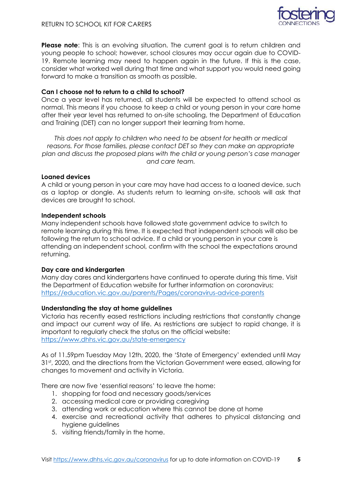

**Please note:** This is an evolving situation. The current goal is to return children and young people to school; however, school closures may occur again due to COVID-19. Remote learning may need to happen again in the future. If this is the case, consider what worked well during that time and what support you would need going forward to make a transition as smooth as possible.

#### **Can I choose not to return to a child to school?**

Once a year level has returned, all students will be expected to attend school as normal. This means if you choose to keep a child or young person in your care home after their year level has returned to on-site schooling, the Department of Education and Training (DET) can no longer support their learning from home.

*This does not apply to children who need to be absent for health or medical reasons. For those families, please contact DET so they can make an appropriate plan and discuss the proposed plans with the child or young person's case manager and care team.*

#### <span id="page-5-0"></span>**Loaned devices**

A child or young person in your care may have had access to a loaned device, such as a laptop or dongle. As students return to learning on-site, schools will ask that devices are brought to school.

#### <span id="page-5-1"></span>**Independent schools**

Many independent schools have followed state government advice to switch to remote learning during this time. It is expected that independent schools will also be following the return to school advice. If a child or young person in your care is attending an independent school, confirm with the school the expectations around returning.

#### <span id="page-5-2"></span>**Day care and kindergarten**

Many day cares and kindergartens have continued to operate during this time. Visit the Department of Education website for further information on coronavirus: [https://education.vic.gov.au/parents/Pages/coronavirus-advice-parents](https://education.vic.gov.au/parents/Pages/coronavirus-advice-parents.aspx#link32)

#### <span id="page-5-3"></span>**Understanding the stay at home guidelines**

Victoria has recently eased restrictions including restrictions that constantly change and impact our current way of life. As restrictions are subject to rapid change, it is important to regularly check the status on the official website: <https://www.dhhs.vic.gov.au/state-emergency>

As of 11.59pm Tuesday May 12th, 2020, the 'State of Emergency' extended until May 31st, 2020, and the directions from the Victorian Government were eased, allowing for changes to movement and activity in Victoria.

There are now five 'essential reasons' to leave the home:

- 1. shopping for food and necessary goods/services
- 2. accessing medical care or providing caregiving
- 3. attending work or education where this cannot be done at home
- 4. exercise and recreational activity that adheres to physical distancing and hygiene guidelines
- 5. visiting friends/family in the home.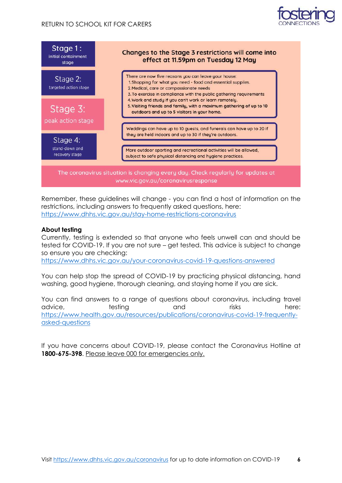



Remember, these guidelines will change - you can find a host of information on the restrictions, including answers to frequently asked questions, here: <https://www.dhhs.vic.gov.au/stay-home-restrictions-coronavirus>

#### <span id="page-6-0"></span>**About testing**

Currently, testing is extended so that anyone who feels unwell can and should be tested for COVID-19. If you are not sure – get tested. This advice is subject to change so ensure you are checking:

<https://www.dhhs.vic.gov.au/your-coronavirus-covid-19-questions-answered>

You can help stop the spread of COVID-19 by practicing physical distancing, hand washing, good hygiene, thorough cleaning, and staying home if you are sick.

You can find answers to a range of questions about coronavirus, including travel advice, testing and risks here: [https://www.health.gov.au/resources/publications/coronavirus-covid-19-frequently](https://www.health.gov.au/resources/publications/coronavirus-covid-19-frequently-asked-questions)[asked-questions](https://www.health.gov.au/resources/publications/coronavirus-covid-19-frequently-asked-questions)

If you have concerns about COVID-19, please contact the Coronavirus Hotline at **1800-675-398**. Please leave 000 for emergencies only.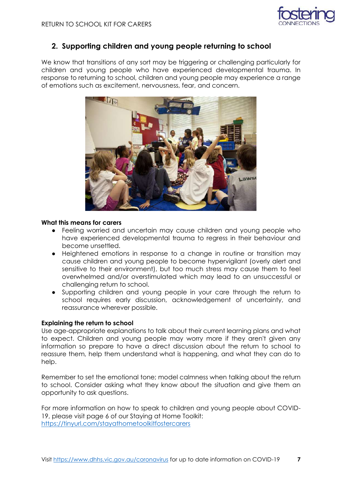

#### <span id="page-7-0"></span>**2. Supporting children and young people returning to school**

We know that transitions of any sort may be triggering or challenging particularly for children and young people who have experienced developmental trauma. In response to returning to school, children and young people may experience a range of emotions such as excitement, nervousness, fear, and concern.



#### <span id="page-7-1"></span>**What this means for carers**

- Feeling worried and uncertain may cause children and young people who have experienced developmental trauma to regress in their behaviour and become unsettled.
- Heightened emotions in response to a change in routine or transition may cause children and young people to become hypervigilant (overly alert and sensitive to their environment), but too much stress may cause them to feel overwhelmed and/or overstimulated which may lead to an unsuccessful or challenging return to school.
- Supporting children and young people in your care through the return to school requires early discussion, acknowledgement of uncertainty, and reassurance wherever possible.

#### <span id="page-7-2"></span>**Explaining the return to school**

Use age-appropriate explanations to talk about their current learning plans and what to expect. Children and young people may worry more if they aren't given any information so prepare to have a direct discussion about the return to school to reassure them, help them understand what is happening, and what they can do to help.

Remember to set the emotional tone; model calmness when talking about the return to school. Consider asking what they know about the situation and give them an opportunity to ask questions.

For more information on how to speak to children and young people about COVID-19, please visit page 6 of our Staying at Home Toolkit: <https://tinyurl.com/stayathometoolkitfostercarers>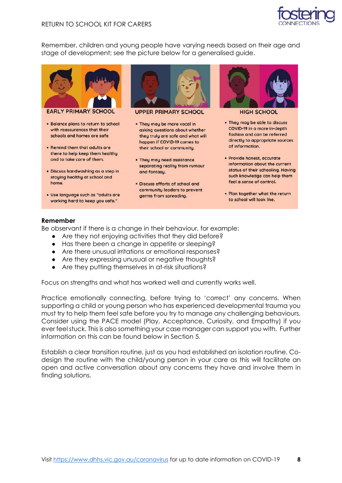

Remember, children and young people have varying needs based on their age and stage of development; see the picture below for a generalised guide.



**EARLY PRIMARY SCHOOL** 

- . Balance plans to return to school with reassurances that their schools and homes are safe
- Remind them that adults are there to help keep them healthu and to take care of them.
- · Discuss handwashing as a step in staying healthy at school and home.
- · Use language such as "adults are working hard to keep you safe."



**UPPER PRIMARY SCHOOL** 

- . They may be more vocal in asking questions about whether they truly are safe and what will happen if COVID-19 comes to their school or community.
- . They may need assistance separating reality from rumour and fantasy.
- · Discuss efforts of school and community leaders to prevent germs from spreading.



**HIGH SCHOOL** 

- They may be able to discuss COVID-19 in a more in-depth fashion and can be referred directly to appropriate sources of information.
- · Provide honest, accurate information about the current status of their schooling. Having such knowledge can help them feel a sense of control.
- Plan together what the return to school will look like.

#### <span id="page-8-0"></span>**Remember**

Be observant if there is a change in their behaviour, for example:

- Are they not enjoying activities that they did before?
- Has there been a change in appetite or sleeping?
- Are there unusual irritations or emotional responses?
- Are they expressing unusual or negative thoughts?
- Are they putting themselves in at-risk situations?

Focus on strengths and what has worked well and currently works well.

Practice emotionally connecting, before trying to 'correct' any concerns. When supporting a child or young person who has experienced developmental trauma you must try to help them feel safe before you try to manage any challenging behaviours. Consider using the PACE model (Play, Acceptance, Curiosity, and Empathy) if you ever feel stuck. This is also something your case manager can support you with. Further information on this can be found below in Section 5.

Establish a clear transition routine, just as you had established an isolation routine. Codesign the routine with the child/young person in your care as this will facilitate an open and active conversation about any concerns they have and involve them in finding solutions.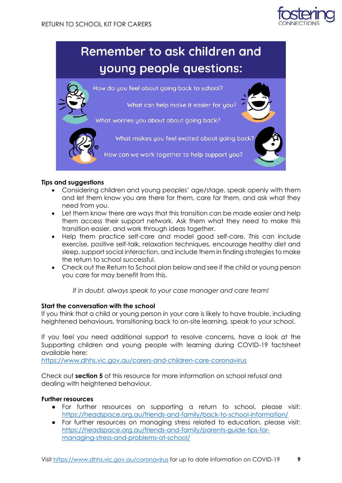

## Remember to ask children and young people questions:



#### <span id="page-9-0"></span>**Tips and suggestions**

- Considering children and young peoples' age/stage, speak openly with them and let them know you are there for them, care for them, and ask what they need from you.
- Let them know there are ways that this transition can be made easier and help them access their support network. Ask them what they need to make this transition easier, and work through ideas together.
- Help them practice self-care and model good self-care. This can include exercise, positive self-talk, relaxation techniques, encourage healthy diet and sleep, support social interaction, and include them in finding strategies to make the return to school successful.
- Check out the Return to School plan below and see if the child or young person you care for may benefit from this.

*If in doubt, always speak to your case manager and care team!*

#### **Start the conversation with the school**

If you think that a child or young person in your care is likely to have trouble, including heightened behaviours, transitioning back to on-site learning, speak to your school.

If you feel you need additional support to resolve concerns, have a look at the Supporting children and young people with learning during COVID-19 factsheet available here:

<https://www.dhhs.vic.gov.au/carers-and-children-care-coronavirus>

Check out **section 5** of this resource for more information on school refusal and dealing with heightened behaviour.

#### <span id="page-9-1"></span>**Further resources**

- For further resources on supporting a return to school, please visit: <https://headspace.org.au/friends-and-family/back-to-school-information/>
- For further resources on managing stress related to education, please visit: [https://headspace.org.au/friends-and-family/parents-guide-tips-for](https://headspace.org.au/friends-and-family/parents-guide-tips-for-managing-stress-and-problems-at-school/)[managing-stress-and-problems-at-school/](https://headspace.org.au/friends-and-family/parents-guide-tips-for-managing-stress-and-problems-at-school/)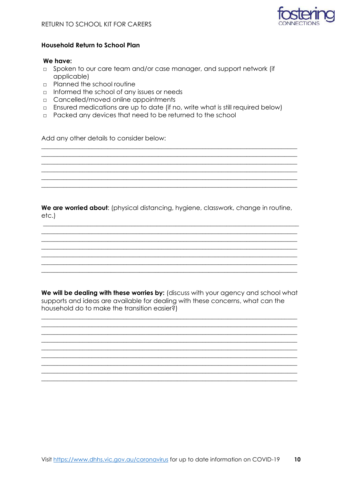

#### <span id="page-10-0"></span>**Household Return to School Plan**

#### We have:

- □ Spoken to our care team and/or case manager, and support network (if applicable)
- **p** Planned the school routine
- $\Box$  Informed the school of any issues or needs
- $\Box$  Cancelled/moved online appointments
- Ensured medications are up to date (if no, write what is still required below)
- $\Box$  Packed any devices that need to be returned to the school

Add any other details to consider below:

We are worried about: (physical distancing, hygiene, classwork, change in routine, etc.)

<u> 1989 - Johann Stoff, deutscher Stoff, der Stoff, der Stoff, der Stoff, der Stoff, der Stoff, der Stoff, der S</u>

We will be dealing with these worries by: (discuss with your agency and school what supports and ideas are available for dealing with these concerns, what can the household do to make the transition easier?)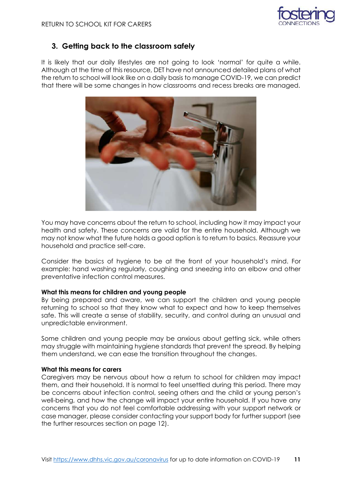

#### <span id="page-11-0"></span>**3. Getting back to the classroom safely**

It is likely that our daily lifestyles are not going to look 'normal' for quite a while. Although at the time of this resource, DET have not announced detailed plans of what the return to school will look like on a daily basis to manage COVID-19, we can predict that there will be some changes in how classrooms and recess breaks are managed.



You may have concerns about the return to school, including how it may impact your health and safety. These concerns are valid for the entire household. Although we may not know what the future holds a good option is to return to basics. Reassure your household and practice self-care.

Consider the basics of hygiene to be at the front of your household's mind. For example: hand washing regularly, coughing and sneezing into an elbow and other preventative infection control measures.

#### <span id="page-11-1"></span>**What this means for children and young people**

By being prepared and aware, we can support the children and young people returning to school so that they know what to expect and how to keep themselves safe. This will create a sense of stability, security, and control during an unusual and unpredictable environment.

Some children and young people may be anxious about getting sick, while others may struggle with maintaining hygiene standards that prevent the spread. By helping them understand, we can ease the transition throughout the changes.

#### <span id="page-11-2"></span>**What this means for carers**

Caregivers may be nervous about how a return to school for children may impact them, and their household. It is normal to feel unsettled during this period. There may be concerns about infection control, seeing others and the child or young person's well-being, and how the change will impact your entire household. If you have any concerns that you do not feel comfortable addressing with your support network or case manager, please consider contacting your support body for further support (see the further resources section on page 12).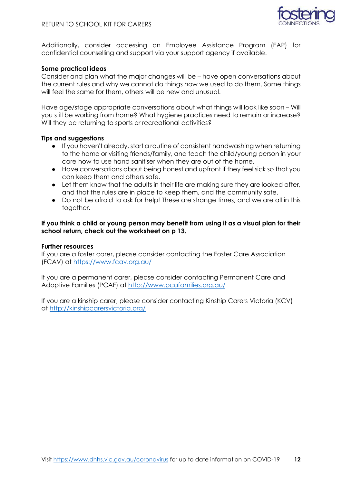

Additionally, consider accessing an Employee Assistance Program (EAP) for confidential counselling and support via your support agency if available.

#### <span id="page-12-0"></span>**Some practical ideas**

Consider and plan what the major changes will be – have open conversations about the current rules and why we cannot do things how we used to do them. Some things will feel the same for them, others will be new and unusual.

Have age/stage appropriate conversations about what things will look like soon – Will you still be working from home? What hygiene practices need to remain or increase? Will they be returning to sports or recreational activities?

#### <span id="page-12-1"></span>**Tips and suggestions**

- If you haven't already, start a routine of consistent handwashing when returning to the home or visiting friends/family, and teach the child/young person in your care how to use hand sanitiser when they are out of the home.
- Have conversations about being honest and upfront if they feel sick so that you can keep them and others safe.
- Let them know that the adults in their life are making sure they are looked after, and that the rules are in place to keep them, and the community safe.
- Do not be afraid to ask for help! These are strange times, and we are all in this together.

**If you think a child or young person may benefit from using it as a visual plan for their school return, check out the worksheet on p 13.**

#### <span id="page-12-2"></span>**Further resources**

If you are a foster carer, please consider contacting the Foster Care Association (FCAV) at<https://www.fcav.org.au/>

If you are a permanent carer, please consider contacting Permanent Care and Adoptive Families (PCAF) at<http://www.pcafamilies.org.au/>

If you are a kinship carer, please consider contacting Kinship Carers Victoria (KCV) at<http://kinshipcarersvictoria.org/>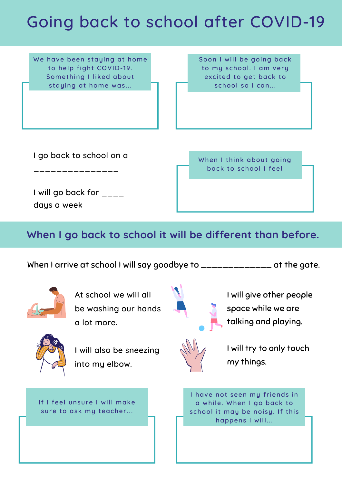## Going back to school after COVID-19

We have been staying at home to help fight COVID-19. Something I liked about staying at home was...

Soon I will be going back to my school. I am very excited to get back to school so I can...

I go back to school on a

\_\_\_\_\_\_\_\_\_\_\_\_\_\_\_

When I think about going back to school I feel

I will go back for  $\frac{1}{2}$ days a week

**When I go back to school it will be different than before.**

When I arrive at school I will say goodbye to \_\_\_\_\_\_\_\_\_\_\_\_\_\_\_ at the gate.



At school we will all be washing our hands a lot more.

I will give other people space while we are talking and playing.



I will also be sneezing into my elbow.

I will try to only touch my things.

I have not seen my friends in a while. When I go back to school it may be noisy. If this happens I will...

If I feel unsure I will make sure to ask my teacher...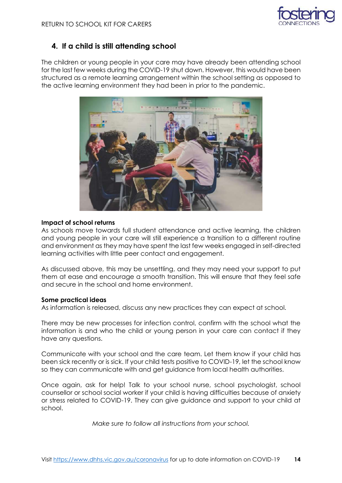#### **4. If a child is still attending school**

The children or young people in your care may have already been attending school for the last few weeks during the COVID-19 shut down. However, this would have been structured as a remote learning arrangement within the school setting as opposed to the active learning environment they had been in prior to the pandemic.



#### **Impact of school returns**

As schools move towards full student attendance and active learning, the children and young people in your care will still experience a transition to a different routine and environment as they may have spent the last few weeks engaged in self-directed learning activities with little peer contact and engagement.

As discussed above, this may be unsettling, and they may need your support to put them at ease and encourage a smooth transition. This will ensure that they feel safe and secure in the school and home environment.

#### **Some practical ideas**

As information is released, discuss any new practices they can expect at school.

There may be new processes for infection control, confirm with the school what the information is and who the child or young person in your care can contact if they have any questions.

Communicate with your school and the care team. Let them know if your child has been sick recently or is sick. If your child tests positive to COVID-19, let the school know so they can communicate with and get guidance from local health authorities.

Once again, ask for help! Talk to your school nurse, school psychologist, school counsellor or school social worker if your child is having difficulties because of anxiety or stress related to COVID-19. They can give guidance and support to your child at school.

*Make sure to follow all instructions from your school.*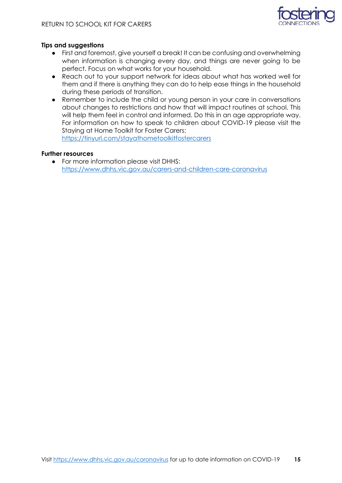

#### **Tips and suggestions**

- First and foremost, give yourself a break! It can be confusing and overwhelming when information is changing every day, and things are never going to be perfect. Focus on what works for your household.
- Reach out to your support network for ideas about what has worked well for them and if there is anything they can do to help ease things in the household during these periods of transition.
- Remember to include the child or young person in your care in conversations about changes to restrictions and how that will impact routines at school. This will help them feel in control and informed. Do this in an age appropriate way. For information on how to speak to children about COVID-19 please visit the Staying at Home Toolkit for Foster Carers:

https://tinyurl.com/stayathometoolkitfostercarers

#### **Further resources**

● For more information please visit DHHS: <https://www.dhhs.vic.gov.au/carers-and-children-care-coronavirus>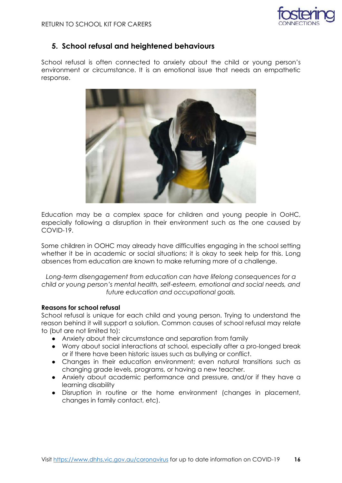

#### **5. School refusal and heightened behaviours**

School refusal is often connected to anxiety about the child or young person's environment or circumstance. It is an emotional issue that needs an empathetic response.



Education may be a complex space for children and young people in OoHC, especially following a disruption in their environment such as the one caused by COVID-19.

Some children in OOHC may already have difficulties engaging in the school setting whether it be in academic or social situations; it is okay to seek help for this. Long absences from education are known to make returning more of a challenge.

*Long-term disengagement from education can have lifelong consequences for a child or young person's mental health, self-esteem, emotional and social needs, and future education and occupational goals.*

#### **Reasons for school refusal**

School refusal is unique for each child and young person. Trying to understand the reason behind it will support a solution. Common causes of school refusal may relate to (but are not limited to):

- Anxiety about their circumstance and separation from family
- Worry about social interactions at school, especially after a pro-longed break or if there have been historic issues such as bullying or conflict.
- Changes in their education environment; even natural transitions such as changing grade levels, programs, or having a new teacher.
- Anxiety about academic performance and pressure, and/or if they have a learning disability
- Disruption in routine or the home environment (changes in placement, changes in family contact, etc).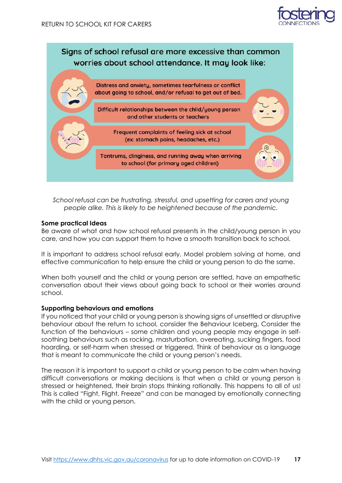



*School refusal can be frustrating, stressful, and upsetting for carers and young people alike. This is likely to be heightened because of the pandemic.* 

#### **Some practical Ideas**

Be aware of what and how school refusal presents in the child/young person in you care, and how you can support them to have a smooth transition back to school.

It is important to address school refusal early. Model problem solving at home, and effective communication to help ensure the child or young person to do the same.

When both yourself and the child or young person are settled, have an empathetic conversation about their views about going back to school or their worries around school.

#### **Supporting behaviours and emotions**

If you noticed that your child or young person is showing signs of unsettled or disruptive behaviour about the return to school, consider the Behaviour Iceberg. Consider the function of the behaviours – some children and young people may engage in selfsoothing behaviours such as rocking, masturbation, overeating, sucking fingers, food hoarding, or self-harm when stressed or triggered. Think of behaviour as a language that is meant to communicate the child or young person's needs.

The reason it is important to support a child or young person to be calm when having difficult conversations or making decisions is that when a child or young person is stressed or heightened, their brain stops thinking rationally. This happens to all of us! This is called "Fight, Flight, Freeze" and can be managed by emotionally connecting with the child or young person.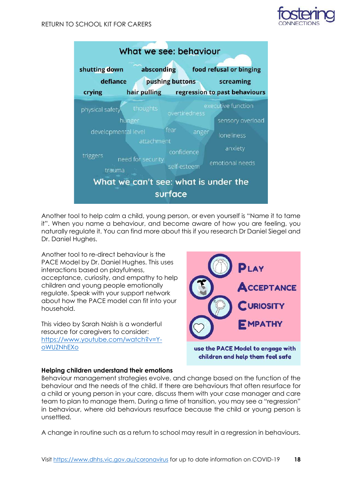



Another tool to help calm a child, young person, or even yourself is "Name it to tame it". When you name a behaviour, and become aware of how you are feeling, you naturally regulate it. You can find more about this if you research Dr Daniel Siegel and Dr. Daniel Hughes.

Another tool to re-direct behaviour is the PACE Model by Dr. Daniel Hughes. This uses interactions based on playfulness, acceptance, curiosity, and empathy to help children and young people emotionally regulate. Speak with your support network about how the PACE model can fit into your household.

This video by Sarah Naish is a wonderful resource for caregivers to consider: [https://www.youtube.com/watch?v=Y](https://www.youtube.com/watch?v=Y-oWUZNhEXo)[oWUZNhEXo](https://www.youtube.com/watch?v=Y-oWUZNhEXo)



#### **Helping children understand their emotions**

Behaviour management strategies evolve, and change based on the function of the behaviour and the needs of the child. If there are behaviours that often resurface for a child or young person in your care, discuss them with your case manager and care team to plan to manage them. During a time of transition, you may see a "regression" in behaviour, where old behaviours resurface because the child or young person is unsettled.

A change in routine such as a return to school may result in a regression in behaviours.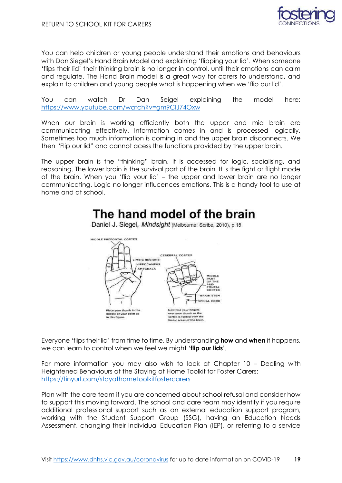

You can help children or young people understand their emotions and behaviours with Dan Siegel's Hand Brain Model and explaining 'flipping your lid'. When someone 'flips their lid' their thinking brain is no longer in control, until their emotions can calm and regulate. The Hand Brain model is a great way for carers to understand, and explain to children and young people what is happening when we 'flip our lid'.

You can watch Dr Dan Seigel explaining the model here: <https://www.youtube.com/watch?v=gm9CIJ74Oxw>

When our brain is working efficiently both the upper and mid brain are communicating effectively. Information comes in and is processed logically. Sometimes too much information is coming in and the upper brain disconnects. We then "Flip our lid" and cannot acess the functions provided by the upper brain.

The upper brain is the "thinking" brain. It is accessed for logic, socialising, and reasoning. The lower brain is the survival part of the brain. It is the fight or flight mode of the brain. When you 'flip your lid' – the upper and lower brain are no longer communicating. Logic no longer influcences emotions. This is a handy tool to use at home and at school.

### The hand model of the brain

Daniel J. Siegel, Mindsight (Melbourne: Scribe, 2010), p.15



Everyone 'flips their lid' from time to time. By understanding **how** and **when** it happens, we can learn to control when we feel we might '**flip our lids'**.

For more information you may also wish to look at Chapter 10 – Dealing with Heightened Behaviours at the Staying at Home Toolkit for Foster Carers: <https://tinyurl.com/stayathometoolkitfostercarers>

Plan with the care team if you are concerned about school refusal and consider how to support this moving forward. The school and care team may identify if you require additional professional support such as an external education support program, working with the Student Support Group (SSG), having an Education Needs Assessment, changing their Individual Education Plan (IEP), or referring to a service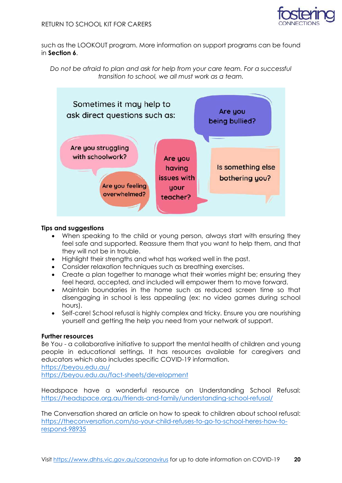

such as the LOOKOUT program. More information on support programs can be found in **Section 6**.





#### **Tips and suggestions**

- When speaking to the child or young person, always start with ensuring they feel safe and supported. Reassure them that you want to help them, and that they will not be in trouble.
- Highlight their strengths and what has worked well in the past.
- Consider relaxation techniques such as breathing exercises.
- Create a plan together to manage what their worries might be; ensuring they feel heard, accepted, and included will empower them to move forward.
- Maintain boundaries in the home such as reduced screen time so that disengaging in school is less appealing (ex: no video games during school hours).
- Self-care! School refusal is highly complex and tricky. Ensure you are nourishing yourself and getting the help you need from your network of support.

#### **Further resources**

Be You - a collaborative initiative to support the mental health of children and young people in educational settings. It has resources available for caregivers and educators which also includes specific COVID-19 information. <https://beyou.edu.au/>

<https://beyou.edu.au/fact-sheets/development>

Headspace have a wonderful resource on Understanding School Refusal: <https://headspace.org.au/friends-and-family/understanding-school-refusal/>

The Conversation shared an article on how to speak to children about school refusal: [https://theconversation.com/so-your-child-refuses-to-go-to-school-heres-how-to](https://theconversation.com/so-your-child-refuses-to-go-to-school-heres-how-to-respond-98935)[respond-98935](https://theconversation.com/so-your-child-refuses-to-go-to-school-heres-how-to-respond-98935)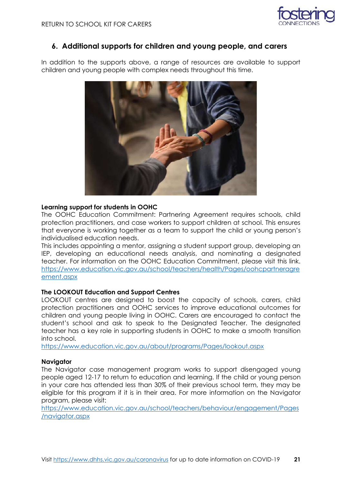

#### **6. Additional supports for children and young people, and carers**

In addition to the supports above, a range of resources are available to support children and young people with complex needs throughout this time.



#### **Learning support for students in OOHC**

The OOHC Education Commitment: Partnering Agreement requires schools, child protection practitioners, and case workers to support children at school. This ensures that everyone is working together as a team to support the child or young person's individualised education needs.

This includes appointing a mentor, assigning a student support group, developing an IEP, developing an educational needs analysis, and nominating a designated teacher. For information on the OOHC Education Commitment, please visit this link. [https://www.education.vic.gov.au/school/teachers/health/Pages/oohcpartneragre](https://www.education.vic.gov.au/school/teachers/health/Pages/oohcpartneragreement.aspx) [ement.aspx](https://www.education.vic.gov.au/school/teachers/health/Pages/oohcpartneragreement.aspx)

#### **The LOOKOUT Education and Support Centres**

LOOKOUT centres are designed to boost the capacity of schools, carers, child protection practitioners and OOHC services to improve educational outcomes for children and young people living in OOHC. Carers are encouraged to contact the student's school and ask to speak to the Designated Teacher. The designated teacher has a key role in supporting students in OOHC to make a smooth transition into school.

<https://www.education.vic.gov.au/about/programs/Pages/lookout.aspx>

#### **Navigator**

The Navigator case management program works to support disengaged young people aged 12-17 to return to education and learning. If the child or young person in your care has attended less than 30% of their previous school term, they may be eligible for this program if it is in their area. For more information on the Navigator program, please visit:

[https://www.education.vic.gov.au/school/teachers/behaviour/engagement/Pages](https://www.education.vic.gov.au/school/teachers/behaviour/engagement/Pages/navigator.aspx) [/navigator.aspx](https://www.education.vic.gov.au/school/teachers/behaviour/engagement/Pages/navigator.aspx)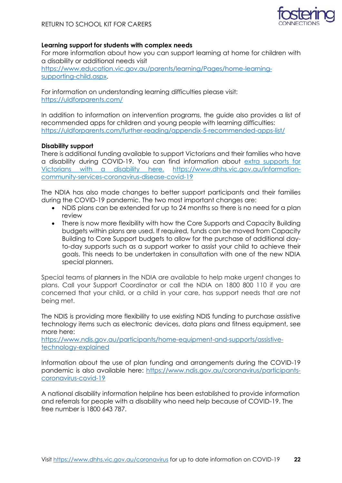

#### **Learning support for students with complex needs**

For more information about how you can support learning at home for children with a disability or additional needs visit [https://www.education.vic.gov.au/parents/learning/Pages/home-learning](https://www.education.vic.gov.au/parents/learning/Pages/home-learning-supporting-child.aspx)[supporting-child.aspx.](https://www.education.vic.gov.au/parents/learning/Pages/home-learning-supporting-child.aspx)

For information on understanding learning difficulties please visit: <https://uldforparents.com/>

In addition to information on intervention programs, the guide also provides a list of recommended apps for children and young people with learning difficulties: <https://uldforparents.com/further-reading/appendix-5-recommended-apps-list/>

#### **Disability support**

There is additional funding available to support Victorians and their families who have a disability during COVID-19. You can find information about [extra supports for](https://www.dhhs.vic.gov.au/information-community-services-coronavirus-disease-covid-19)  [Victorians with a disability here](https://www.dhhs.vic.gov.au/information-community-services-coronavirus-disease-covid-19). [https://www.dhhs.vic.gov.au/information](https://www.dhhs.vic.gov.au/information-community-services-coronavirus-disease-covid-19)[community-services-coronavirus-disease-covid-19](https://www.dhhs.vic.gov.au/information-community-services-coronavirus-disease-covid-19)

The NDIA has also made changes to better support participants and their families during the COVID-19 pandemic. The two most important changes are:

- NDIS plans can be extended for up to 24 months so there is no need for a plan review
- There is now more flexibility with how the Core Supports and Capacity Building budgets within plans are used. If required, funds can be moved from Capacity Building to Core Support budgets to allow for the purchase of additional dayto-day supports such as a support worker to assist your child to achieve their goals. This needs to be undertaken in consultation with one of the new NDIA special planners.

Special teams of planners in the NDIA are available to help make urgent changes to plans. Call your Support Coordinator or call the NDIA on 1800 800 110 if you are concerned that your child, or a child in your care, has support needs that are not being met.

The NDIS is providing more flexibility to use existing NDIS funding to purchase assistive technology items such as electronic devices, data plans and fitness equipment, see more here:

[https://www.ndis.gov.au/participants/home-equipment-and-supports/assistive](https://www.ndis.gov.au/participants/home-equipment-and-supports/assistive-technology-explained)[technology-explained](https://www.ndis.gov.au/participants/home-equipment-and-supports/assistive-technology-explained)

Information about the use of plan funding and arrangements during the COVID-19 pandemic is also available here: [https://www.ndis.gov.au/coronavirus/participants](https://www.ndis.gov.au/coronavirus/participants-coronavirus-covid-19)[coronavirus-covid-19](https://www.ndis.gov.au/coronavirus/participants-coronavirus-covid-19)

A national disability information helpline has been established to provide information and referrals for people with a disability who need help because of COVID-19. The free number is 1800 643 787.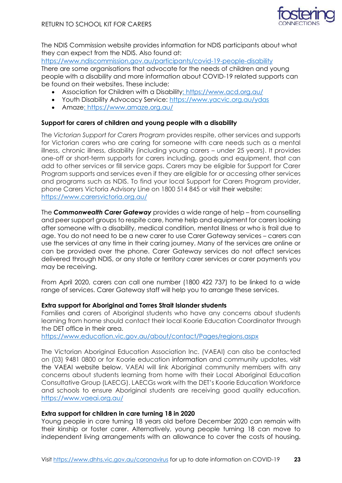

The NDIS Commission website provides information for NDIS participants about what they can expect from the NDIS. Also found at:

<https://www.ndiscommission.gov.au/participants/covid-19-people-disability> There are some organisations that advocate for the needs of children and young people with a disability and more information about COVID-19 related supports can be found on their websites. These include:

- Association for Children with a Disability:<https://www.acd.org.au/>
- Youth Disability Advocacy Service: https://www.yacvic.org.au/ydas
- Amaze:<https://www.amaze.org.au/>

#### **Support for carers of children and young people with a disability**

The *Victorian Support for Carers Program* provides respite, other services and supports for Victorian carers who are caring for someone with care needs such as a mental illness, chronic illness, disability (including young carers – under 25 years). It provides one-off or short-term supports for carers including, goods and equipment, that can add to other services or fill service gaps. Carers may be eligible for Support for Carer Program supports and services even if they are eligible for or accessing other services and programs such as NDIS. To find your local Support for Carers Program provider, phone Carers Victoria Advisory Line on 1800 514 845 or visit their website: <https://www.carersvictoria.org.au/>

The *Commonwealth Carer Gateway* provides a wide range of help – from counselling and peer support groups to respite care, home help and equipment for carers looking after someone with a disability, medical condition, mental illness or who is frail due to age. You do not need to be a new carer to use Carer Gateway services – carers can use the services at any time in their caring journey. Many of the services are online or can be provided over the phone. Carer Gateway services do not affect services delivered through NDIS, or any state or territory carer services or carer payments you may be receiving.

From April 2020, carers can call one number (1800 422 737) to be linked to a wide range of services. Carer Gateway staff will help you to arrange these services.

#### **Extra support for Aboriginal and Torres Strait Islander students**

Families and carers of Aboriginal students who have any concerns about students learning from home should contact their local Koorie Education Coordinator through the DET office in their area.

<https://www.education.vic.gov.au/about/contact/Pages/regions.aspx>

The Victorian Aboriginal Education Association Inc. (VAEAI) can also be contacted on (03) 9481 0800 or for Koorie education information and community updates, visit the VAEAI website below. VAEAI will link Aboriginal community members with any concerns about students learning from home with their Local Aboriginal Education Consultative Group (LAECG). LAECGs work with the DET's Koorie Education Workforce and schools to ensure Aboriginal students are receiving good quality education. <https://www.vaeai.org.au/>

#### **Extra support for children in care turning 18 in 2020**

Young people in care turning 18 years old before December 2020 can remain with their kinship or foster carer. Alternatively, young people turning 18 can move to independent living arrangements with an allowance to cover the costs of housing.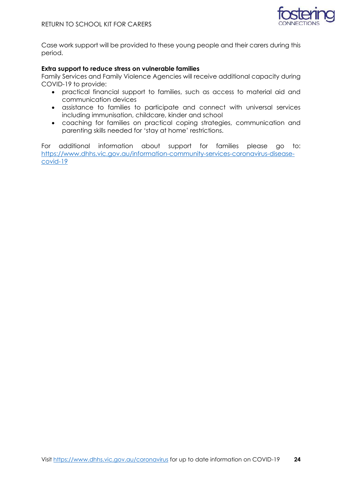

Case work support will be provided to these young people and their carers during this period.

#### **Extra support to reduce stress on vulnerable families**

Family Services and Family Violence Agencies will receive additional capacity during COVID-19 to provide:

- practical financial support to families, such as access to material aid and communication devices
- assistance to families to participate and connect with universal services including immunisation, childcare, kinder and school
- coaching for families on practical coping strategies, communication and parenting skills needed for 'stay at home' restrictions.

For additional information about support for families please go to: [https://www.dhhs.vic.gov.au/information-community-services-coronavirus-disease](https://www.dhhs.vic.gov.au/information-community-services-coronavirus-disease-covid-19)[covid-19](https://www.dhhs.vic.gov.au/information-community-services-coronavirus-disease-covid-19)